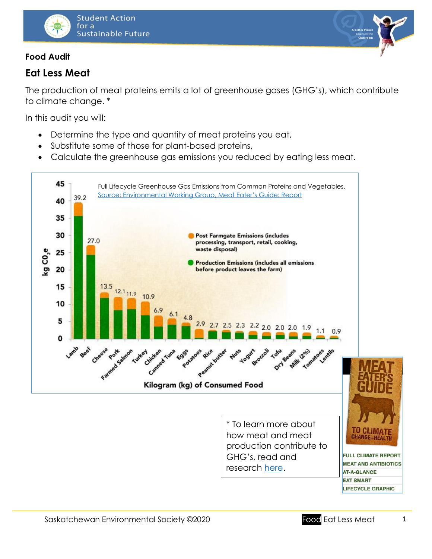

### **Food Audit**

# **Eat Less Meat**

The production of meat proteins emits a lot of greenhouse gases (GHG's), which contribute to climate change. \*

In this audit you will:

- Determine the type and quantity of meat proteins you eat,
- Substitute some of those for plant-based proteins,
- Calculate the greenhouse gas emissions you reduced by eating less meat.



\* To learn more about how meat and meat production contribute to GHG's, read and research [here.](https://www.ewg.org/meateatersguide/)



**FULL CLIMATE REPORT MEAT AND ANTIBIOTICS AT-A-GLANCE EAT SMART LIFECYCLE GRAPHIC** 

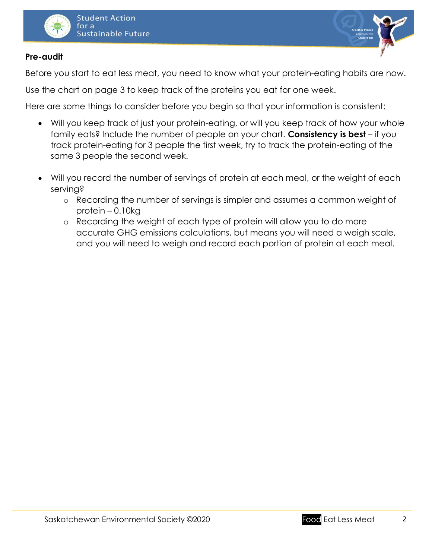



### **Pre-audit**

Before you start to eat less meat, you need to know what your protein-eating habits are now.

Use the chart on page 3 to keep track of the proteins you eat for one week.

Here are some things to consider before you begin so that your information is consistent:

- Will you keep track of just your protein-eating, or will you keep track of how your whole family eats? Include the number of people on your chart. **Consistency is best** – if you track protein-eating for 3 people the first week, try to track the protein-eating of the same 3 people the second week.
- Will you record the number of servings of protein at each meal, or the weight of each serving?
	- o Recording the number of servings is simpler and assumes a common weight of protein – 0.10kg
	- o Recording the weight of each type of protein will allow you to do more accurate GHG emissions calculations, but means you will need a weigh scale, and you will need to weigh and record each portion of protein at each meal.

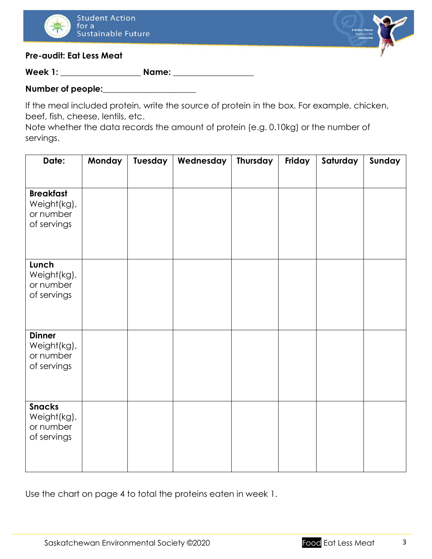



#### **Pre-audit: Eat Less Meat**

**Week 1: \_\_\_\_\_\_\_\_\_\_\_\_\_\_\_\_\_\_\_ Name: \_\_\_\_\_\_\_\_\_\_\_\_\_\_\_\_\_\_\_**

## **Number of people:\_\_\_\_\_\_\_\_\_\_\_\_\_\_\_\_\_\_\_\_\_\_**

If the meal included protein, write the source of protein in the box. For example, chicken, beef, fish, cheese, lentils, etc.

Note whether the data records the amount of protein (e.g. 0.10kg) or the number of servings.

| Date:                                                       | <b>Monday</b> | Tuesday | Wednesday | Thursday | Friday | Saturday | Sunday |
|-------------------------------------------------------------|---------------|---------|-----------|----------|--------|----------|--------|
|                                                             |               |         |           |          |        |          |        |
| <b>Breakfast</b><br>Weight(kg),<br>or number<br>of servings |               |         |           |          |        |          |        |
| Lunch<br>Weight(kg),<br>or number<br>of servings            |               |         |           |          |        |          |        |
| <b>Dinner</b><br>Weight(kg),<br>or number<br>of servings    |               |         |           |          |        |          |        |
| <b>Snacks</b><br>Weight(kg),<br>or number<br>of servings    |               |         |           |          |        |          |        |

Use the chart on page 4 to total the proteins eaten in week 1.

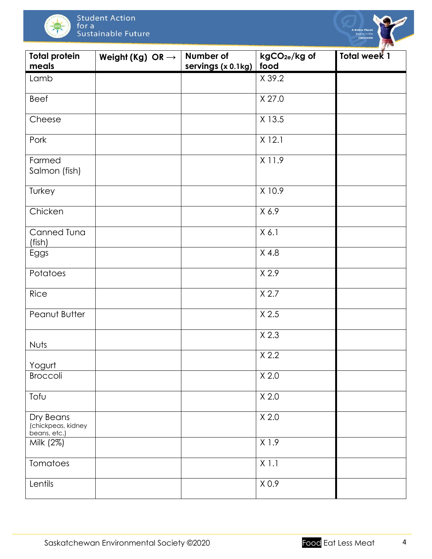



| <b>Total protein</b><br>meals                   | Weight (Kg) OR $\rightarrow$ | Number of<br>servings (x 0.1kg) | kgCO <sub>2e</sub> /kg of<br>food | <b>Total week 1</b> |
|-------------------------------------------------|------------------------------|---------------------------------|-----------------------------------|---------------------|
| Lamb                                            |                              |                                 | X 39.2                            |                     |
| Beef                                            |                              |                                 | X 27.0                            |                     |
| Cheese                                          |                              |                                 | X 13.5                            |                     |
| Pork                                            |                              |                                 | $X$ 12.1                          |                     |
| Farmed<br>Salmon (fish)                         |                              |                                 | X 11.9                            |                     |
| Turkey                                          |                              |                                 | X 10.9                            |                     |
| Chicken                                         |                              |                                 | X 6.9                             |                     |
| Canned Tuna<br>(fish)                           |                              |                                 | X 6.1                             |                     |
| Eggs                                            |                              |                                 | $X$ 4.8                           |                     |
| Potatoes                                        |                              |                                 | X 2.9                             |                     |
| Rice                                            |                              |                                 | X 2.7                             |                     |
| Peanut Butter                                   |                              |                                 | $X$ 2.5                           |                     |
| Nuts                                            |                              |                                 | $X$ 2.3                           |                     |
| Yogurt                                          |                              |                                 | X 2.2                             |                     |
| Broccoli                                        |                              |                                 | X 2.0                             |                     |
| Tofu                                            |                              |                                 | X 2.0                             |                     |
| Dry Beans<br>(chickpeas, kidney<br>beans, etc.) |                              |                                 | X 2.0                             |                     |
| Milk (2%)                                       |                              |                                 | X1.9                              |                     |
| Tomatoes                                        |                              |                                 | $X$ 1.1                           |                     |
| Lentils                                         |                              |                                 | X 0.9                             |                     |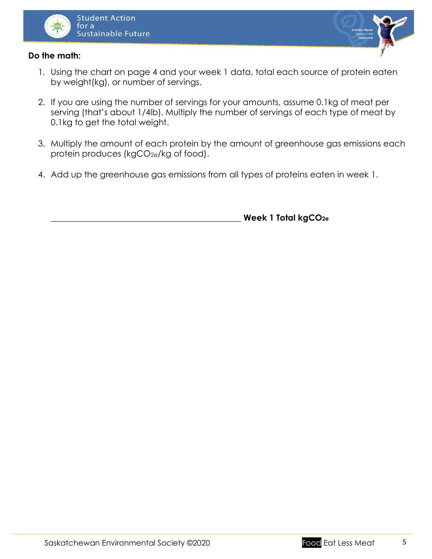



#### **Do the math:**

- 1. Using the chart on page 4 and your week 1 data, total each source of protein eaten by weight(kg), or number of servings.
- 2. If you are using the number of servings for your amounts, assume 0.1kg of meat per serving (that's about 1/4lb). Multiply the number of servings of each type of meat by 0.1kg to get the total weight.
- 3. Multiply the amount of each protein by the amount of greenhouse gas emissions each protein produces (kgCO<sub>2e</sub>/kg of food).
- 4. Add up the greenhouse gas emissions from all types of proteins eaten in week 1.

\_\_\_\_\_\_\_\_\_\_\_\_\_\_\_\_\_\_\_\_\_\_\_\_\_\_\_\_\_\_\_\_\_\_\_\_\_\_\_\_\_\_\_\_\_ **Week 1 Total kgCO2e**

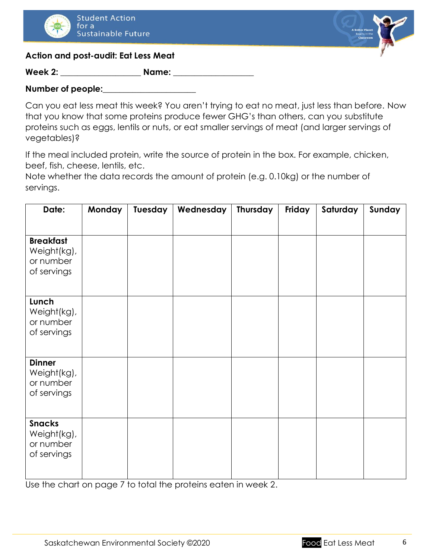



#### **Action and post-audit: Eat Less Meat**

**Week 2: \_\_\_\_\_\_\_\_\_\_\_\_\_\_\_\_\_\_\_ Name: \_\_\_\_\_\_\_\_\_\_\_\_\_\_\_\_\_\_\_**

#### **Number of people:\_\_\_\_\_\_\_\_\_\_\_\_\_\_\_\_\_\_\_\_\_\_**

Can you eat less meat this week? You aren't trying to eat no meat, just less than before. Now that you know that some proteins produce fewer GHG's than others, can you substitute proteins such as eggs, lentils or nuts, or eat smaller servings of meat (and larger servings of vegetables)?

If the meal included protein, write the source of protein in the box. For example, chicken, beef, fish, cheese, lentils, etc.

Note whether the data records the amount of protein (e.g. 0.10kg) or the number of servings.

| Date:                                                       | Monday | Tuesday | Wednesday | Thursday | Friday | Saturday | Sunday |
|-------------------------------------------------------------|--------|---------|-----------|----------|--------|----------|--------|
| <b>Breakfast</b><br>Weight(kg),<br>or number<br>of servings |        |         |           |          |        |          |        |
| Lunch<br>Weight(kg),<br>or number<br>of servings            |        |         |           |          |        |          |        |
| <b>Dinner</b><br>Weight(kg),<br>or number<br>of servings    |        |         |           |          |        |          |        |
| <b>Snacks</b><br>Weight(kg),<br>or number<br>of servings    |        |         |           |          |        |          |        |

Use the chart on page 7 to total the proteins eaten in week 2.

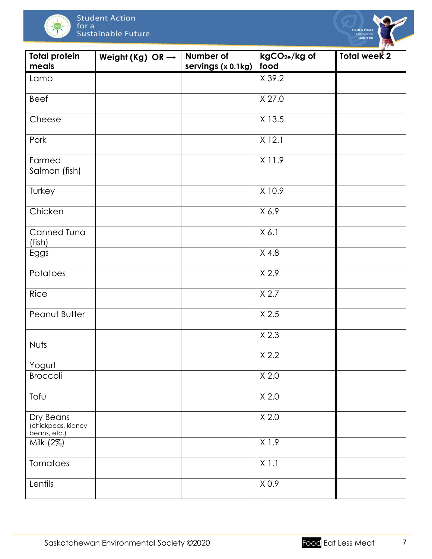



| <b>Total protein</b><br>meals                   | Weight (Kg) OR $\rightarrow$ | Number of<br>servings (x 0.1kg) | kgCO <sub>2e</sub> /kg of<br>food | <b>Total week 2</b> |
|-------------------------------------------------|------------------------------|---------------------------------|-----------------------------------|---------------------|
| Lamb                                            |                              |                                 | X 39.2                            |                     |
| Beef                                            |                              |                                 | X 27.0                            |                     |
| Cheese                                          |                              |                                 | X 13.5                            |                     |
| Pork                                            |                              |                                 | $X$ 12.1                          |                     |
| Farmed<br>Salmon (fish)                         |                              |                                 | X 11.9                            |                     |
| Turkey                                          |                              |                                 | X 10.9                            |                     |
| Chicken                                         |                              |                                 | X 6.9                             |                     |
| Canned Tuna<br>(fish)                           |                              |                                 | X 6.1                             |                     |
| Eggs                                            |                              |                                 | $X$ 4.8                           |                     |
| Potatoes                                        |                              |                                 | X 2.9                             |                     |
| Rice                                            |                              |                                 | X 2.7                             |                     |
| Peanut Butter                                   |                              |                                 | X 2.5                             |                     |
| Nuts                                            |                              |                                 | $X$ 2.3                           |                     |
| Yogurt                                          |                              |                                 | X 2.2                             |                     |
| Broccoli                                        |                              |                                 | X 2.0                             |                     |
| Tofu                                            |                              |                                 | X 2.0                             |                     |
| Dry Beans<br>(chickpeas, kidney<br>beans, etc.) |                              |                                 | X 2.0                             |                     |
| Milk (2%)                                       |                              |                                 | X1.9                              |                     |
| Tomatoes                                        |                              |                                 | $X$ 1.1                           |                     |
| Lentils                                         |                              |                                 | X <sub>0.9</sub>                  |                     |

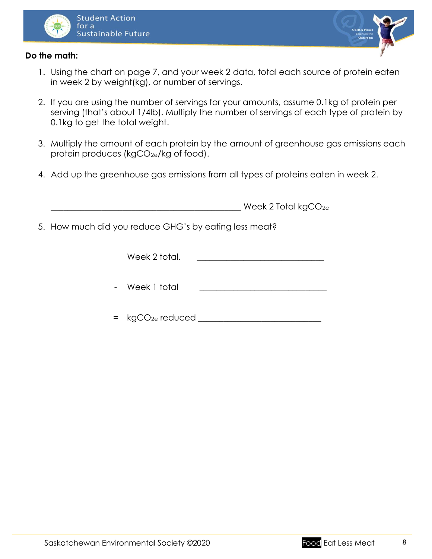



#### **Do the math:**

- 1. Using the chart on page 7, and your week 2 data, total each source of protein eaten in week 2 by weight(kg), or number of servings.
- 2. If you are using the number of servings for your amounts, assume 0.1kg of protein per serving (that's about 1/4lb). Multiply the number of servings of each type of protein by 0.1kg to get the total weight.
- 3. Multiply the amount of each protein by the amount of greenhouse gas emissions each protein produces (kgCO<sub>2e</sub>/kg of food).
- 4. Add up the greenhouse gas emissions from all types of proteins eaten in week 2.

| Week 2 Total $kgCO_{2e}$ |
|--------------------------|
|                          |

5. How much did you reduce GHG's by eating less meat?

| Week 2 total. |  |
|---------------|--|
|---------------|--|

- Week 1 total
- = kgCO2e reduced \_\_\_\_\_\_\_\_\_\_\_\_\_\_\_\_\_\_\_\_\_\_\_\_\_\_\_\_\_